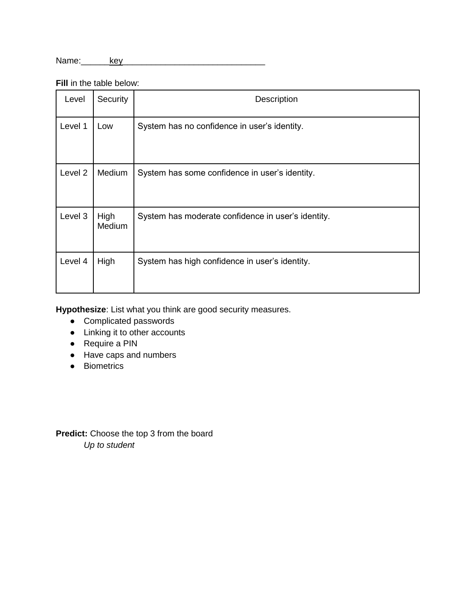Name:\_\_\_\_\_\_key\_\_\_\_\_\_\_\_\_\_\_\_\_\_\_\_\_\_\_\_\_\_\_\_\_\_\_\_\_\_

**Fill** in the table below:

| Level              | Security       | Description                                        |
|--------------------|----------------|----------------------------------------------------|
| Level 1            | Low            | System has no confidence in user's identity.       |
| Level <sub>2</sub> | Medium         | System has some confidence in user's identity.     |
| Level 3            | High<br>Medium | System has moderate confidence in user's identity. |
| Level 4            | High           | System has high confidence in user's identity.     |

**Hypothesize**: List what you think are good security measures.

- Complicated passwords
- Linking it to other accounts
- Require a PIN
- Have caps and numbers
- Biometrics

**Predict:** Choose the top 3 from the board *Up to student*